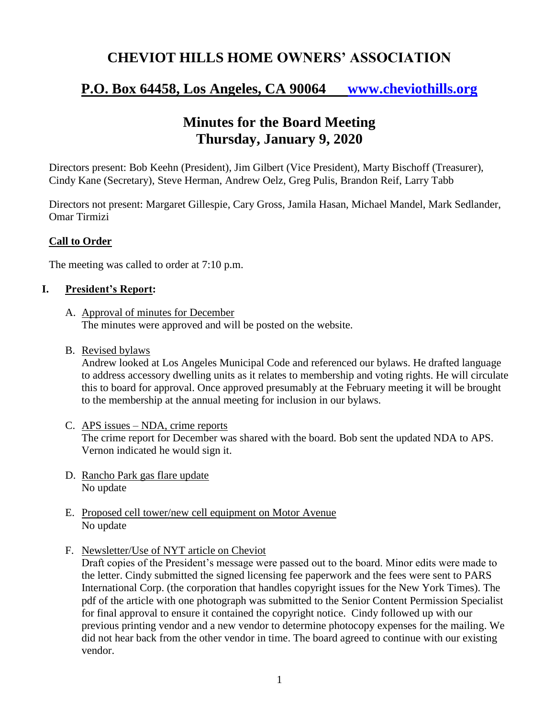## **CHEVIOT HILLS HOME OWNERS' ASSOCIATION**

# **P.O. Box 64458, Los Angeles, CA 90064 [www.cheviothills.org](http://www.cheviothills.org/)**

## **Minutes for the Board Meeting Thursday, January 9, 2020**

Directors present: Bob Keehn (President), Jim Gilbert (Vice President), Marty Bischoff (Treasurer), Cindy Kane (Secretary), Steve Herman, Andrew Oelz, Greg Pulis, Brandon Reif, Larry Tabb

Directors not present: Margaret Gillespie, Cary Gross, Jamila Hasan, Michael Mandel, Mark Sedlander, Omar Tirmizi

#### **Call to Order**

The meeting was called to order at 7:10 p.m.

#### **I. President's Report:**

- A. Approval of minutes for December The minutes were approved and will be posted on the website.
- B. Revised bylaws

Andrew looked at Los Angeles Municipal Code and referenced our bylaws. He drafted language to address accessory dwelling units as it relates to membership and voting rights. He will circulate this to board for approval. Once approved presumably at the February meeting it will be brought to the membership at the annual meeting for inclusion in our bylaws.

- C. APS issues NDA, crime reports The crime report for December was shared with the board. Bob sent the updated NDA to APS. Vernon indicated he would sign it.
- D. Rancho Park gas flare update No update
- E. Proposed cell tower/new cell equipment on Motor Avenue No update
- F. Newsletter/Use of NYT article on Cheviot

Draft copies of the President's message were passed out to the board. Minor edits were made to the letter. Cindy submitted the signed licensing fee paperwork and the fees were sent to PARS International Corp. (the corporation that handles copyright issues for the New York Times). The pdf of the article with one photograph was submitted to the Senior Content Permission Specialist for final approval to ensure it contained the copyright notice. Cindy followed up with our previous printing vendor and a new vendor to determine photocopy expenses for the mailing. We did not hear back from the other vendor in time. The board agreed to continue with our existing vendor.